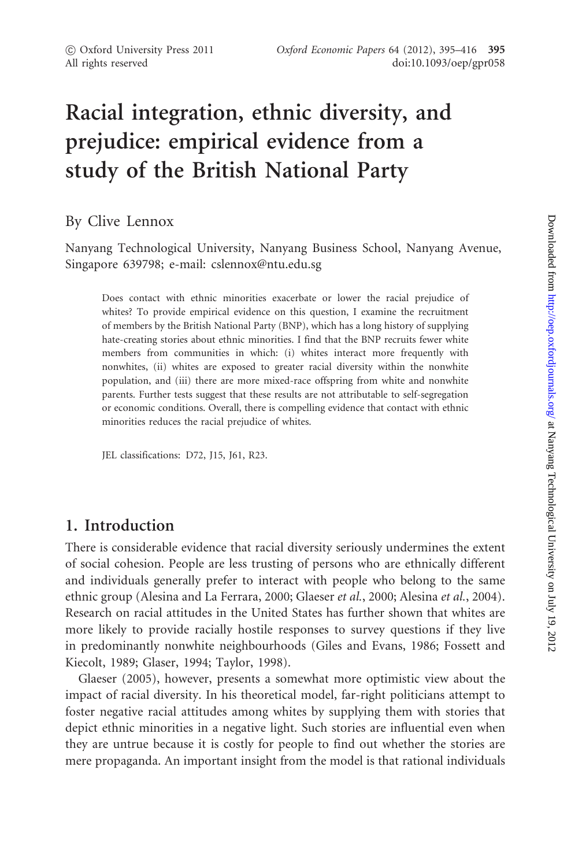# Racial integration, ethnic diversity, and prejudice: empirical evidence from a study of the British National Party

By Clive Lennox

Nanyang Technological University, Nanyang Business School, Nanyang Avenue, Singapore 639798; e-mail: cslennox@ntu.edu.sg

Does contact with ethnic minorities exacerbate or lower the racial prejudice of whites? To provide empirical evidence on this question, I examine the recruitment of members by the British National Party (BNP), which has a long history of supplying hate-creating stories about ethnic minorities. I find that the BNP recruits fewer white members from communities in which: (i) whites interact more frequently with nonwhites, (ii) whites are exposed to greater racial diversity within the nonwhite population, and (iii) there are more mixed-race offspring from white and nonwhite parents. Further tests suggest that these results are not attributable to self-segregation or economic conditions. Overall, there is compelling evidence that contact with ethnic minorities reduces the racial prejudice of whites.

JEL classifications: D72, J15, J61, R23.

# 1. Introduction

There is considerable evidence that racial diversity seriously undermines the extent of social cohesion. People are less trusting of persons who are ethnically different and individuals generally prefer to interact with people who belong to the same ethnic group ([Alesina and La Ferrara, 2000](#page-19-0); [Glaeser](#page-20-0) et al., 2000; [Alesina](#page-19-0) et al., 2004). Research on racial attitudes in the United States has further shown that whites are more likely to provide racially hostile responses to survey questions if they live in predominantly nonwhite neighbourhoods [\(Giles and Evans, 1986](#page-20-0); [Fossett and](#page-20-0) [Kiecolt, 1989; Glaser, 1994](#page-20-0); [Taylor, 1998](#page-21-0)).

[Glaeser \(2005\)](#page-20-0), however, presents a somewhat more optimistic view about the impact of racial diversity. In his theoretical model, far-right politicians attempt to foster negative racial attitudes among whites by supplying them with stories that depict ethnic minorities in a negative light. Such stories are influential even when they are untrue because it is costly for people to find out whether the stories are mere propaganda. An important insight from the model is that rational individuals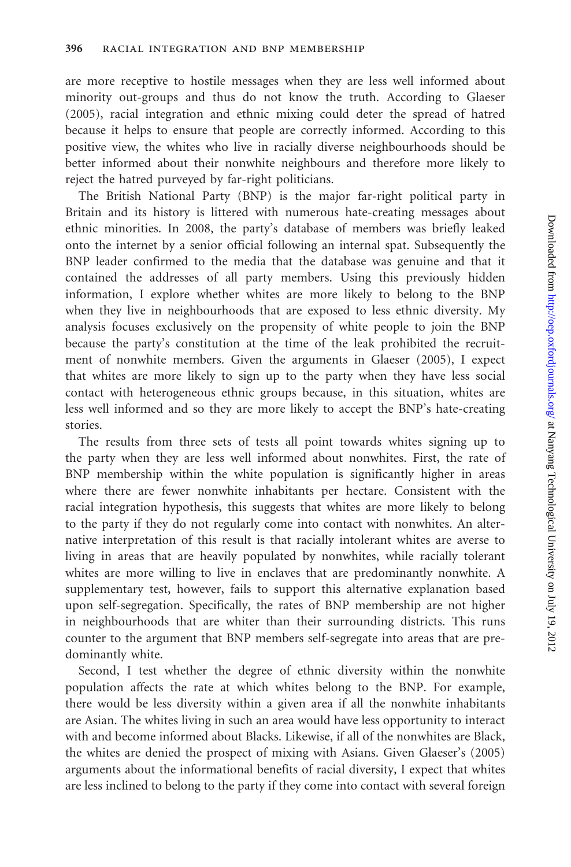are more receptive to hostile messages when they are less well informed about minority out-groups and thus do not know the truth. According to [Glaeser](#page-20-0) [\(2005\)](#page-20-0), racial integration and ethnic mixing could deter the spread of hatred because it helps to ensure that people are correctly informed. According to this positive view, the whites who live in racially diverse neighbourhoods should be better informed about their nonwhite neighbours and therefore more likely to reject the hatred purveyed by far-right politicians.

The British National Party (BNP) is the major far-right political party in Britain and its history is littered with numerous hate-creating messages about ethnic minorities. In 2008, the party's database of members was briefly leaked onto the internet by a senior official following an internal spat. Subsequently the BNP leader confirmed to the media that the database was genuine and that it contained the addresses of all party members. Using this previously hidden information, I explore whether whites are more likely to belong to the BNP when they live in neighbourhoods that are exposed to less ethnic diversity. My analysis focuses exclusively on the propensity of white people to join the BNP because the party's constitution at the time of the leak prohibited the recruitment of nonwhite members. Given the arguments in [Glaeser \(2005\),](#page-20-0) I expect that whites are more likely to sign up to the party when they have less social contact with heterogeneous ethnic groups because, in this situation, whites are less well informed and so they are more likely to accept the BNP's hate-creating stories.

The results from three sets of tests all point towards whites signing up to the party when they are less well informed about nonwhites. First, the rate of BNP membership within the white population is significantly higher in areas where there are fewer nonwhite inhabitants per hectare. Consistent with the racial integration hypothesis, this suggests that whites are more likely to belong to the party if they do not regularly come into contact with nonwhites. An alternative interpretation of this result is that racially intolerant whites are averse to living in areas that are heavily populated by nonwhites, while racially tolerant whites are more willing to live in enclaves that are predominantly nonwhite. A supplementary test, however, fails to support this alternative explanation based upon self-segregation. Specifically, the rates of BNP membership are not higher in neighbourhoods that are whiter than their surrounding districts. This runs counter to the argument that BNP members self-segregate into areas that are predominantly white.

Second, I test whether the degree of ethnic diversity within the nonwhite population affects the rate at which whites belong to the BNP. For example, there would be less diversity within a given area if all the nonwhite inhabitants are Asian. The whites living in such an area would have less opportunity to interact with and become informed about Blacks. Likewise, if all of the nonwhites are Black, the whites are denied the prospect of mixing with Asians. Given [Glaeser's \(2005\)](#page-20-0) arguments about the informational benefits of racial diversity, I expect that whites are less inclined to belong to the party if they come into contact with several foreign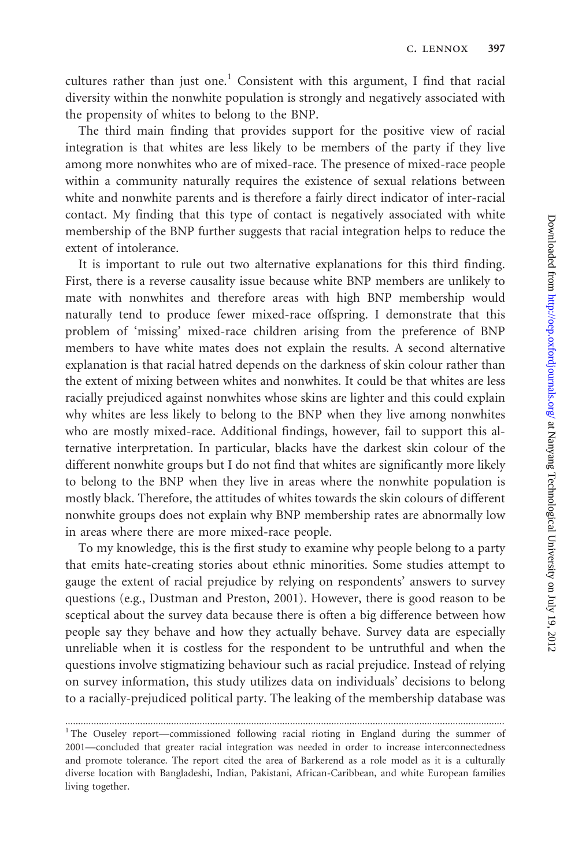cultures rather than just one.<sup>1</sup> Consistent with this argument, I find that racial diversity within the nonwhite population is strongly and negatively associated with the propensity of whites to belong to the BNP.

The third main finding that provides support for the positive view of racial integration is that whites are less likely to be members of the party if they live among more nonwhites who are of mixed-race. The presence of mixed-race people within a community naturally requires the existence of sexual relations between white and nonwhite parents and is therefore a fairly direct indicator of inter-racial contact. My finding that this type of contact is negatively associated with white membership of the BNP further suggests that racial integration helps to reduce the extent of intolerance.

It is important to rule out two alternative explanations for this third finding. First, there is a reverse causality issue because white BNP members are unlikely to mate with nonwhites and therefore areas with high BNP membership would naturally tend to produce fewer mixed-race offspring. I demonstrate that this problem of 'missing' mixed-race children arising from the preference of BNP members to have white mates does not explain the results. A second alternative explanation is that racial hatred depends on the darkness of skin colour rather than the extent of mixing between whites and nonwhites. It could be that whites are less racially prejudiced against nonwhites whose skins are lighter and this could explain why whites are less likely to belong to the BNP when they live among nonwhites who are mostly mixed-race. Additional findings, however, fail to support this alternative interpretation. In particular, blacks have the darkest skin colour of the different nonwhite groups but I do not find that whites are significantly more likely to belong to the BNP when they live in areas where the nonwhite population is mostly black. Therefore, the attitudes of whites towards the skin colours of different nonwhite groups does not explain why BNP membership rates are abnormally low in areas where there are more mixed-race people.

To my knowledge, this is the first study to examine why people belong to a party that emits hate-creating stories about ethnic minorities. Some studies attempt to gauge the extent of racial prejudice by relying on respondents' answers to survey questions (e.g., [Dustman and Preston, 2001](#page-20-0)). However, there is good reason to be sceptical about the survey data because there is often a big difference between how people say they behave and how they actually behave. Survey data are especially unreliable when it is costless for the respondent to be untruthful and when the questions involve stigmatizing behaviour such as racial prejudice. Instead of relying on survey information, this study utilizes data on individuals' decisions to belong to a racially-prejudiced political party. The leaking of the membership database was

<sup>..........................................................................................................................................................................</sup>

<sup>&</sup>lt;sup>1</sup>The Ouseley report—commissioned following racial rioting in England during the summer of 2001—concluded that greater racial integration was needed in order to increase interconnectedness and promote tolerance. The report cited the area of Barkerend as a role model as it is a culturally diverse location with Bangladeshi, Indian, Pakistani, African-Caribbean, and white European families living together.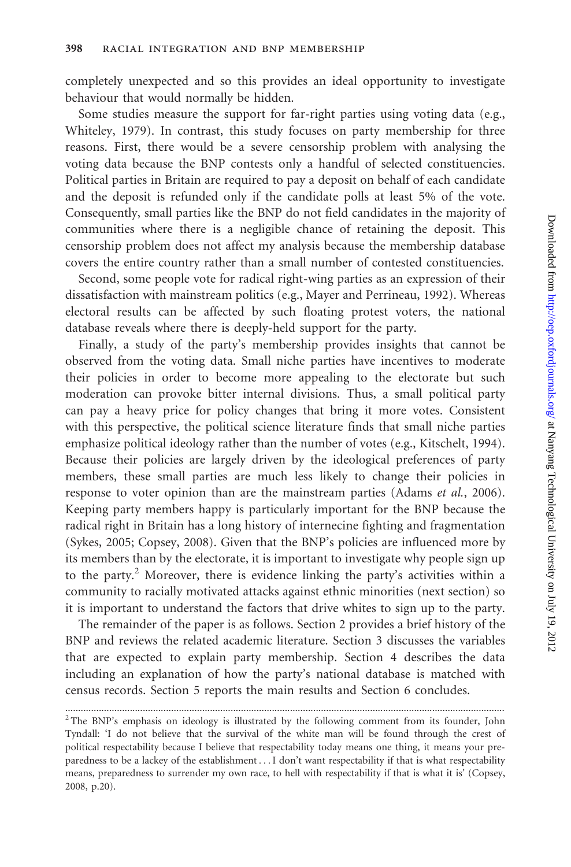completely unexpected and so this provides an ideal opportunity to investigate behaviour that would normally be hidden.

Some studies measure the support for far-right parties using voting data (e.g., [Whiteley, 1979](#page-21-0)). In contrast, this study focuses on party membership for three reasons. First, there would be a severe censorship problem with analysing the voting data because the BNP contests only a handful of selected constituencies. Political parties in Britain are required to pay a deposit on behalf of each candidate and the deposit is refunded only if the candidate polls at least 5% of the vote. Consequently, small parties like the BNP do not field candidates in the majority of communities where there is a negligible chance of retaining the deposit. This censorship problem does not affect my analysis because the membership database covers the entire country rather than a small number of contested constituencies.

Second, some people vote for radical right-wing parties as an expression of their dissatisfaction with mainstream politics (e.g., [Mayer and Perrineau, 1992\)](#page-20-0). Whereas electoral results can be affected by such floating protest voters, the national database reveals where there is deeply-held support for the party.

Finally, a study of the party's membership provides insights that cannot be observed from the voting data. Small niche parties have incentives to moderate their policies in order to become more appealing to the electorate but such moderation can provoke bitter internal divisions. Thus, a small political party can pay a heavy price for policy changes that bring it more votes. Consistent with this perspective, the political science literature finds that small niche parties emphasize political ideology rather than the number of votes (e.g., [Kitschelt, 1994\)](#page-20-0). Because their policies are largely driven by the ideological preferences of party members, these small parties are much less likely to change their policies in response to voter opinion than are the mainstream parties ([Adams](#page-19-0) *et al.*, 2006). Keeping party members happy is particularly important for the BNP because the radical right in Britain has a long history of internecine fighting and fragmentation [\(Sykes, 2005;](#page-21-0) [Copsey, 2008\)](#page-20-0). Given that the BNP's policies are influenced more by its members than by the electorate, it is important to investigate why people sign up to the party.<sup>2</sup> Moreover, there is evidence linking the party's activities within a community to racially motivated attacks against ethnic minorities (next section) so it is important to understand the factors that drive whites to sign up to the party.

The remainder of the paper is as follows. Section 2 provides a brief history of the BNP and reviews the related academic literature. Section 3 discusses the variables that are expected to explain party membership. Section 4 describes the data including an explanation of how the party's national database is matched with census records. Section 5 reports the main results and Section 6 concludes.

<sup>..........................................................................................................................................................................</sup>

<sup>&</sup>lt;sup>2</sup> The BNP's emphasis on ideology is illustrated by the following comment from its founder, John Tyndall: 'I do not believe that the survival of the white man will be found through the crest of political respectability because I believe that respectability today means one thing, it means your preparedness to be a lackey of the establishment ...I don't want respectability if that is what respectability means, preparedness to surrender my own race, to hell with respectability if that is what it is' ([Copsey,](#page-20-0) [2008,](#page-20-0) p.20).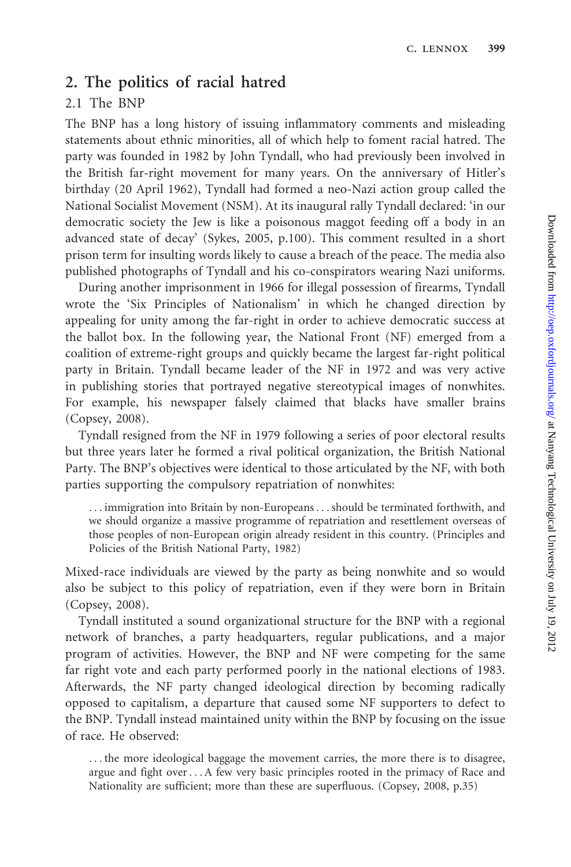# 2. The politics of racial hatred

## 2.1 The BNP

The BNP has a long history of issuing inflammatory comments and misleading statements about ethnic minorities, all of which help to foment racial hatred. The party was founded in 1982 by John Tyndall, who had previously been involved in the British far-right movement for many years. On the anniversary of Hitler's birthday (20 April 1962), Tyndall had formed a neo-Nazi action group called the National Socialist Movement (NSM). At its inaugural rally Tyndall declared: 'in our democratic society the Jew is like a poisonous maggot feeding off a body in an advanced state of decay' ([Sykes, 2005](#page-21-0), p.100). This comment resulted in a short prison term for insulting words likely to cause a breach of the peace. The media also published photographs of Tyndall and his co-conspirators wearing Nazi uniforms.

During another imprisonment in 1966 for illegal possession of firearms, Tyndall wrote the 'Six Principles of Nationalism' in which he changed direction by appealing for unity among the far-right in order to achieve democratic success at the ballot box. In the following year, the National Front (NF) emerged from a coalition of extreme-right groups and quickly became the largest far-right political party in Britain. Tyndall became leader of the NF in 1972 and was very active in publishing stories that portrayed negative stereotypical images of nonwhites. For example, his newspaper falsely claimed that blacks have smaller brains [\(Copsey, 2008](#page-20-0)).

Tyndall resigned from the NF in 1979 following a series of poor electoral results but three years later he formed a rival political organization, the British National Party. The BNP's objectives were identical to those articulated by the NF, with both parties supporting the compulsory repatriation of nonwhites:

... immigration into Britain by non-Europeans ...should be terminated forthwith, and we should organize a massive programme of repatriation and resettlement overseas of those peoples of non-European origin already resident in this country. (Principles and Policies of the British National Party, 1982)

Mixed-race individuals are viewed by the party as being nonwhite and so would also be subject to this policy of repatriation, even if they were born in Britain [\(Copsey, 2008](#page-20-0)).

Tyndall instituted a sound organizational structure for the BNP with a regional network of branches, a party headquarters, regular publications, and a major program of activities. However, the BNP and NF were competing for the same far right vote and each party performed poorly in the national elections of 1983. Afterwards, the NF party changed ideological direction by becoming radically opposed to capitalism, a departure that caused some NF supporters to defect to the BNP. Tyndall instead maintained unity within the BNP by focusing on the issue of race. He observed:

... the more ideological baggage the movement carries, the more there is to disagree, argue and fight over... A few very basic principles rooted in the primacy of Race and Nationality are sufficient; more than these are superfluous. ([Copsey, 2008](#page-20-0), p.35)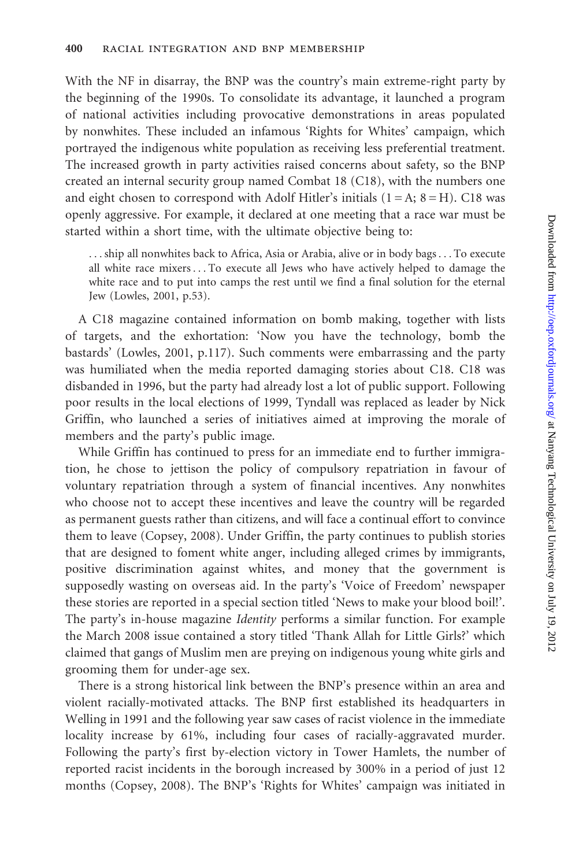With the NF in disarray, the BNP was the country's main extreme-right party by the beginning of the 1990s. To consolidate its advantage, it launched a program of national activities including provocative demonstrations in areas populated by nonwhites. These included an infamous 'Rights for Whites' campaign, which portrayed the indigenous white population as receiving less preferential treatment. The increased growth in party activities raised concerns about safety, so the BNP created an internal security group named Combat 18 (C18), with the numbers one and eight chosen to correspond with Adolf Hitler's initials  $(1 = A; 8 = H)$ . C18 was openly aggressive. For example, it declared at one meeting that a race war must be started within a short time, with the ultimate objective being to:

...ship all nonwhites back to Africa, Asia or Arabia, alive or in body bags... To execute all white race mixers... To execute all Jews who have actively helped to damage the white race and to put into camps the rest until we find a final solution for the eternal Jew ([Lowles, 2001,](#page-20-0) p.53).

A C18 magazine contained information on bomb making, together with lists of targets, and the exhortation: 'Now you have the technology, bomb the bastards' [\(Lowles, 2001](#page-20-0), p.117). Such comments were embarrassing and the party was humiliated when the media reported damaging stories about C18. C18 was disbanded in 1996, but the party had already lost a lot of public support. Following poor results in the local elections of 1999, Tyndall was replaced as leader by Nick Griffin, who launched a series of initiatives aimed at improving the morale of members and the party's public image.

While Griffin has continued to press for an immediate end to further immigration, he chose to jettison the policy of compulsory repatriation in favour of voluntary repatriation through a system of financial incentives. Any nonwhites who choose not to accept these incentives and leave the country will be regarded as permanent guests rather than citizens, and will face a continual effort to convince them to leave [\(Copsey, 2008\)](#page-20-0). Under Griffin, the party continues to publish stories that are designed to foment white anger, including alleged crimes by immigrants, positive discrimination against whites, and money that the government is supposedly wasting on overseas aid. In the party's 'Voice of Freedom' newspaper these stories are reported in a special section titled 'News to make your blood boil!'. The party's in-house magazine *Identity* performs a similar function. For example the March 2008 issue contained a story titled 'Thank Allah for Little Girls?' which claimed that gangs of Muslim men are preying on indigenous young white girls and grooming them for under-age sex.

There is a strong historical link between the BNP's presence within an area and violent racially-motivated attacks. The BNP first established its headquarters in Welling in 1991 and the following year saw cases of racist violence in the immediate locality increase by 61%, including four cases of racially-aggravated murder. Following the party's first by-election victory in Tower Hamlets, the number of reported racist incidents in the borough increased by 300% in a period of just 12 months [\(Copsey, 2008\)](#page-20-0). The BNP's 'Rights for Whites' campaign was initiated in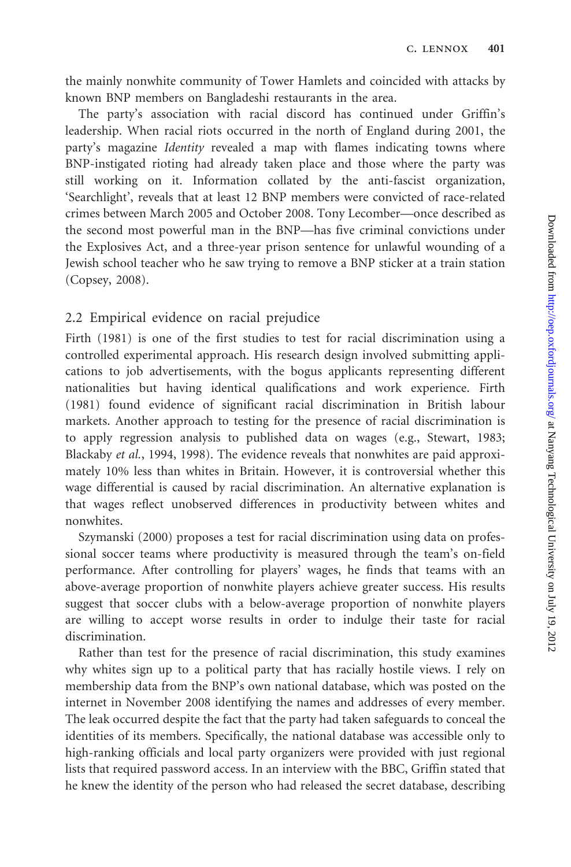the mainly nonwhite community of Tower Hamlets and coincided with attacks by known BNP members on Bangladeshi restaurants in the area.

The party's association with racial discord has continued under Griffin's leadership. When racial riots occurred in the north of England during 2001, the party's magazine Identity revealed a map with flames indicating towns where BNP-instigated rioting had already taken place and those where the party was still working on it. Information collated by the anti-fascist organization, 'Searchlight', reveals that at least 12 BNP members were convicted of race-related crimes between March 2005 and October 2008. Tony Lecomber—once described as the second most powerful man in the BNP—has five criminal convictions under the Explosives Act, and a three-year prison sentence for unlawful wounding of a Jewish school teacher who he saw trying to remove a BNP sticker at a train station [\(Copsey, 2008](#page-20-0)).

### 2.2 Empirical evidence on racial prejudice

[Firth \(1981\)](#page-20-0) is one of the first studies to test for racial discrimination using a controlled experimental approach. His research design involved submitting applications to job advertisements, with the bogus applicants representing different nationalities but having identical qualifications and work experience. [Firth](#page-20-0) [\(1981\)](#page-20-0) found evidence of significant racial discrimination in British labour markets. Another approach to testing for the presence of racial discrimination is to apply regression analysis to published data on wages (e.g., [Stewart, 1983;](#page-21-0) [Blackaby](#page-20-0) et al., 1994, [1998](#page-20-0)). The evidence reveals that nonwhites are paid approximately 10% less than whites in Britain. However, it is controversial whether this wage differential is caused by racial discrimination. An alternative explanation is that wages reflect unobserved differences in productivity between whites and nonwhites.

[Szymanski \(2000\)](#page-21-0) proposes a test for racial discrimination using data on professional soccer teams where productivity is measured through the team's on-field performance. After controlling for players' wages, he finds that teams with an above-average proportion of nonwhite players achieve greater success. His results suggest that soccer clubs with a below-average proportion of nonwhite players are willing to accept worse results in order to indulge their taste for racial discrimination.

Rather than test for the presence of racial discrimination, this study examines why whites sign up to a political party that has racially hostile views. I rely on membership data from the BNP's own national database, which was posted on the internet in November 2008 identifying the names and addresses of every member. The leak occurred despite the fact that the party had taken safeguards to conceal the identities of its members. Specifically, the national database was accessible only to high-ranking officials and local party organizers were provided with just regional lists that required password access. In an interview with the BBC, Griffin stated that he knew the identity of the person who had released the secret database, describing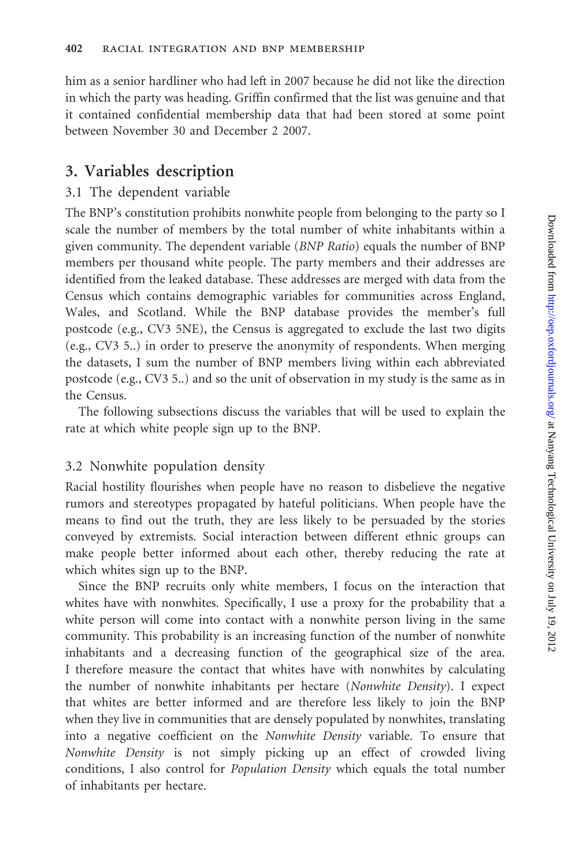him as a senior hardliner who had left in 2007 because he did not like the direction in which the party was heading. Griffin confirmed that the list was genuine and that it contained confidential membership data that had been stored at some point between November 30 and December 2 2007.

# 3. Variables description

## 3.1 The dependent variable

The BNP's constitution prohibits nonwhite people from belonging to the party so I scale the number of members by the total number of white inhabitants within a given community. The dependent variable (BNP Ratio) equals the number of BNP members per thousand white people. The party members and their addresses are identified from the leaked database. These addresses are merged with data from the Census which contains demographic variables for communities across England, Wales, and Scotland. While the BNP database provides the member's full postcode (e.g., CV3 5NE), the Census is aggregated to exclude the last two digits (e.g., CV3 5..) in order to preserve the anonymity of respondents. When merging the datasets, I sum the number of BNP members living within each abbreviated postcode (e.g., CV3 5..) and so the unit of observation in my study is the same as in the Census.

The following subsections discuss the variables that will be used to explain the rate at which white people sign up to the BNP.

## 3.2 Nonwhite population density

Racial hostility flourishes when people have no reason to disbelieve the negative rumors and stereotypes propagated by hateful politicians. When people have the means to find out the truth, they are less likely to be persuaded by the stories conveyed by extremists. Social interaction between different ethnic groups can make people better informed about each other, thereby reducing the rate at which whites sign up to the BNP.

Since the BNP recruits only white members, I focus on the interaction that whites have with nonwhites. Specifically, I use a proxy for the probability that a white person will come into contact with a nonwhite person living in the same community. This probability is an increasing function of the number of nonwhite inhabitants and a decreasing function of the geographical size of the area. I therefore measure the contact that whites have with nonwhites by calculating the number of nonwhite inhabitants per hectare (Nonwhite Density). I expect that whites are better informed and are therefore less likely to join the BNP when they live in communities that are densely populated by nonwhites, translating into a negative coefficient on the Nonwhite Density variable. To ensure that Nonwhite Density is not simply picking up an effect of crowded living conditions, I also control for Population Density which equals the total number of inhabitants per hectare.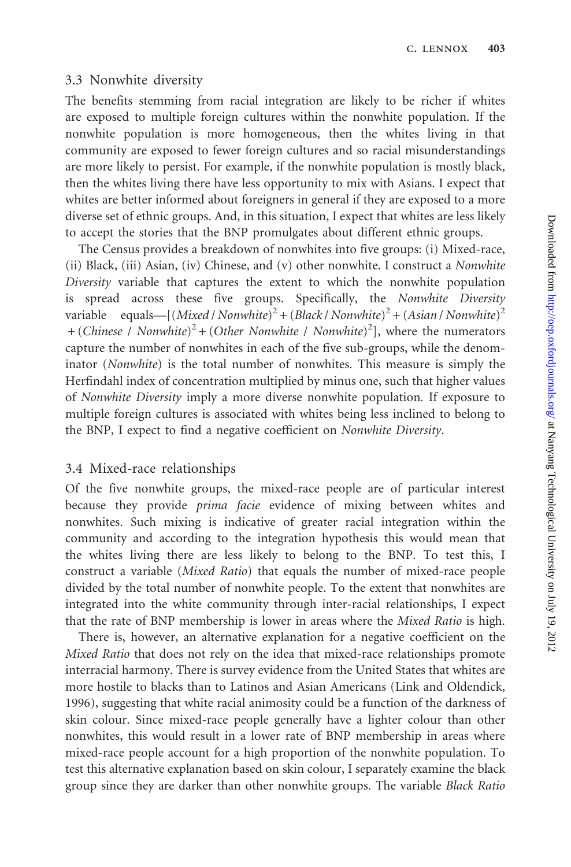#### 3.3 Nonwhite diversity

The benefits stemming from racial integration are likely to be richer if whites are exposed to multiple foreign cultures within the nonwhite population. If the nonwhite population is more homogeneous, then the whites living in that community are exposed to fewer foreign cultures and so racial misunderstandings are more likely to persist. For example, if the nonwhite population is mostly black, then the whites living there have less opportunity to mix with Asians. I expect that whites are better informed about foreigners in general if they are exposed to a more diverse set of ethnic groups. And, in this situation, I expect that whites are less likely to accept the stories that the BNP promulgates about different ethnic groups.

The Census provides a breakdown of nonwhites into five groups: (i) Mixed-race, (ii) Black, (iii) Asian, (iv) Chinese, and (v) other nonwhite. I construct a Nonwhite Diversity variable that captures the extent to which the nonwhite population is spread across these five groups. Specifically, the Nonwhite Diversity variable  $\quad$  equals—[(Mixed / Nonwhite)<sup>2</sup> + (Black / Nonwhite)<sup>2</sup> + (Asian / Nonwhite)<sup>2</sup> + (Chinese / Nonwhite)<sup>2</sup> + (Other Nonwhite / Nonwhite)<sup>2</sup>], where the numerators capture the number of nonwhites in each of the five sub-groups, while the denominator (Nonwhite) is the total number of nonwhites. This measure is simply the Herfindahl index of concentration multiplied by minus one, such that higher values of Nonwhite Diversity imply a more diverse nonwhite population. If exposure to multiple foreign cultures is associated with whites being less inclined to belong to the BNP, I expect to find a negative coefficient on Nonwhite Diversity.

#### 3.4 Mixed-race relationships

Of the five nonwhite groups, the mixed-race people are of particular interest because they provide prima facie evidence of mixing between whites and nonwhites. Such mixing is indicative of greater racial integration within the community and according to the integration hypothesis this would mean that the whites living there are less likely to belong to the BNP. To test this, I construct a variable (Mixed Ratio) that equals the number of mixed-race people divided by the total number of nonwhite people. To the extent that nonwhites are integrated into the white community through inter-racial relationships, I expect that the rate of BNP membership is lower in areas where the Mixed Ratio is high.

There is, however, an alternative explanation for a negative coefficient on the Mixed Ratio that does not rely on the idea that mixed-race relationships promote interracial harmony. There is survey evidence from the United States that whites are more hostile to blacks than to Latinos and Asian Americans [\(Link and Oldendick,](#page-20-0) [1996\)](#page-20-0), suggesting that white racial animosity could be a function of the darkness of skin colour. Since mixed-race people generally have a lighter colour than other nonwhites, this would result in a lower rate of BNP membership in areas where mixed-race people account for a high proportion of the nonwhite population. To test this alternative explanation based on skin colour, I separately examine the black group since they are darker than other nonwhite groups. The variable Black Ratio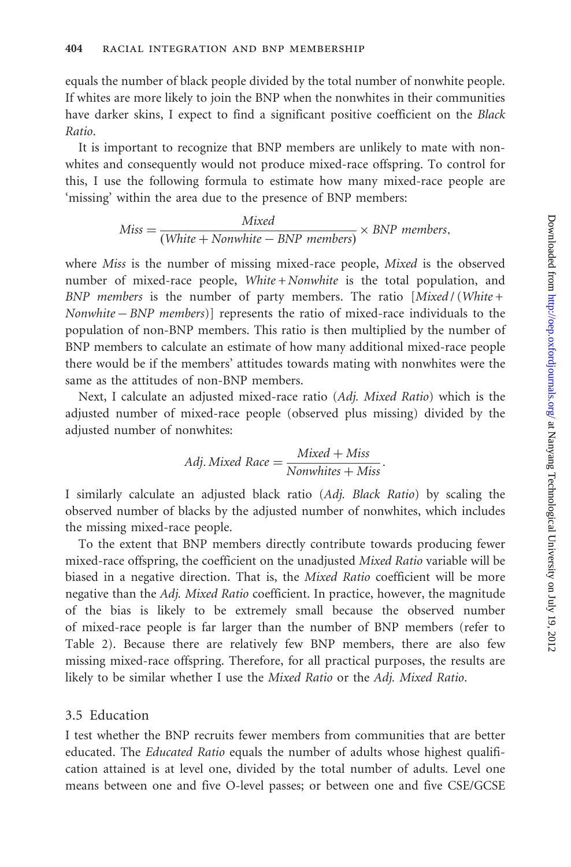equals the number of black people divided by the total number of nonwhite people. If whites are more likely to join the BNP when the nonwhites in their communities have darker skins, I expect to find a significant positive coefficient on the Black Ratio.

It is important to recognize that BNP members are unlikely to mate with nonwhites and consequently would not produce mixed-race offspring. To control for this, I use the following formula to estimate how many mixed-race people are 'missing' within the area due to the presence of BNP members:

$$
Miss = \frac{Mixed}{(White + Nonwhite - BNP \ members)} \times BNP \ members,
$$

where *Miss* is the number of missing mixed-race people, *Mixed* is the observed number of mixed-race people, *White* + *Nonwhite* is the total population, and BNP members is the number of party members. The ratio  $[Mixed/(White +$ Nonwhite - BNP members)] represents the ratio of mixed-race individuals to the population of non-BNP members. This ratio is then multiplied by the number of BNP members to calculate an estimate of how many additional mixed-race people there would be if the members' attitudes towards mating with nonwhites were the same as the attitudes of non-BNP members.

Next, I calculate an adjusted mixed-race ratio (Adj. Mixed Ratio) which is the adjusted number of mixed-race people (observed plus missing) divided by the adjusted number of nonwhites:

$$
Adj. Mixed\; Race = \frac{Mixed + Miss}{Nonwhites + Miss}.
$$

I similarly calculate an adjusted black ratio (Adj. Black Ratio) by scaling the observed number of blacks by the adjusted number of nonwhites, which includes the missing mixed-race people.

To the extent that BNP members directly contribute towards producing fewer mixed-race offspring, the coefficient on the unadjusted Mixed Ratio variable will be biased in a negative direction. That is, the Mixed Ratio coefficient will be more negative than the Adj. Mixed Ratio coefficient. In practice, however, the magnitude of the bias is likely to be extremely small because the observed number of mixed-race people is far larger than the number of BNP members (refer to [Table 2](#page-13-0)). Because there are relatively few BNP members, there are also few missing mixed-race offspring. Therefore, for all practical purposes, the results are likely to be similar whether I use the Mixed Ratio or the Adj. Mixed Ratio.

#### 3.5 Education

I test whether the BNP recruits fewer members from communities that are better educated. The Educated Ratio equals the number of adults whose highest qualification attained is at level one, divided by the total number of adults. Level one means between one and five O-level passes; or between one and five CSE/GCSE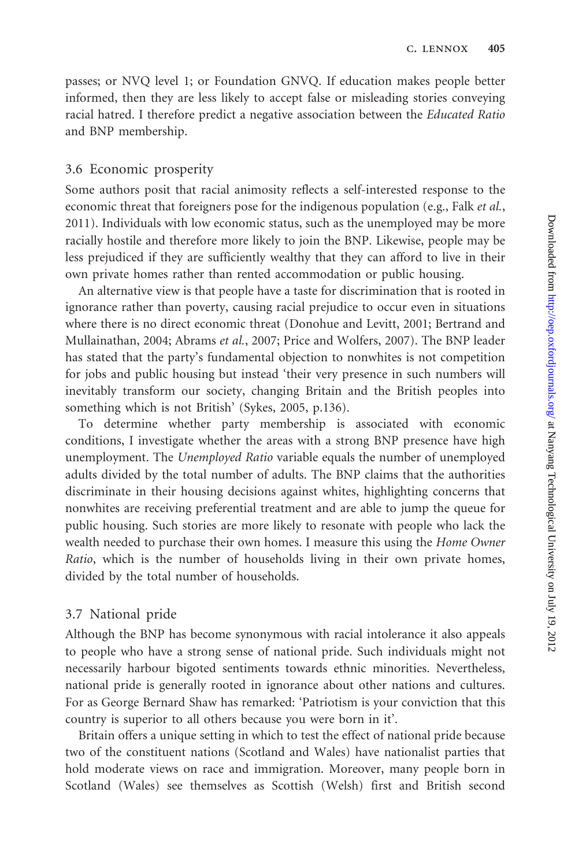passes; or NVQ level 1; or Foundation GNVQ. If education makes people better informed, then they are less likely to accept false or misleading stories conveying racial hatred. I therefore predict a negative association between the Educated Ratio and BNP membership.

#### 3.6 Economic prosperity

Some authors posit that racial animosity reflects a self-interested response to the economic threat that foreigners pose for the indigenous population (e.g., Falk *[et al.](#page-20-0)*, [2011\)](#page-20-0). Individuals with low economic status, such as the unemployed may be more racially hostile and therefore more likely to join the BNP. Likewise, people may be less prejudiced if they are sufficiently wealthy that they can afford to live in their own private homes rather than rented accommodation or public housing.

An alternative view is that people have a taste for discrimination that is rooted in ignorance rather than poverty, causing racial prejudice to occur even in situations where there is no direct economic threat ([Donohue and Levitt, 2001; Bertrand and](#page-20-0) [Mullainathan, 2004](#page-20-0); [Abrams](#page-19-0) et al., 2007; [Price and Wolfers, 2007\)](#page-21-0). The BNP leader has stated that the party's fundamental objection to nonwhites is not competition for jobs and public housing but instead 'their very presence in such numbers will inevitably transform our society, changing Britain and the British peoples into something which is not British' [\(Sykes, 2005](#page-21-0), p.136).

To determine whether party membership is associated with economic conditions, I investigate whether the areas with a strong BNP presence have high unemployment. The Unemployed Ratio variable equals the number of unemployed adults divided by the total number of adults. The BNP claims that the authorities discriminate in their housing decisions against whites, highlighting concerns that nonwhites are receiving preferential treatment and are able to jump the queue for public housing. Such stories are more likely to resonate with people who lack the wealth needed to purchase their own homes. I measure this using the Home Owner Ratio, which is the number of households living in their own private homes, divided by the total number of households.

#### 3.7 National pride

Although the BNP has become synonymous with racial intolerance it also appeals to people who have a strong sense of national pride. Such individuals might not necessarily harbour bigoted sentiments towards ethnic minorities. Nevertheless, national pride is generally rooted in ignorance about other nations and cultures. For as George Bernard Shaw has remarked: 'Patriotism is your conviction that this country is superior to all others because you were born in it'.

Britain offers a unique setting in which to test the effect of national pride because two of the constituent nations (Scotland and Wales) have nationalist parties that hold moderate views on race and immigration. Moreover, many people born in Scotland (Wales) see themselves as Scottish (Welsh) first and British second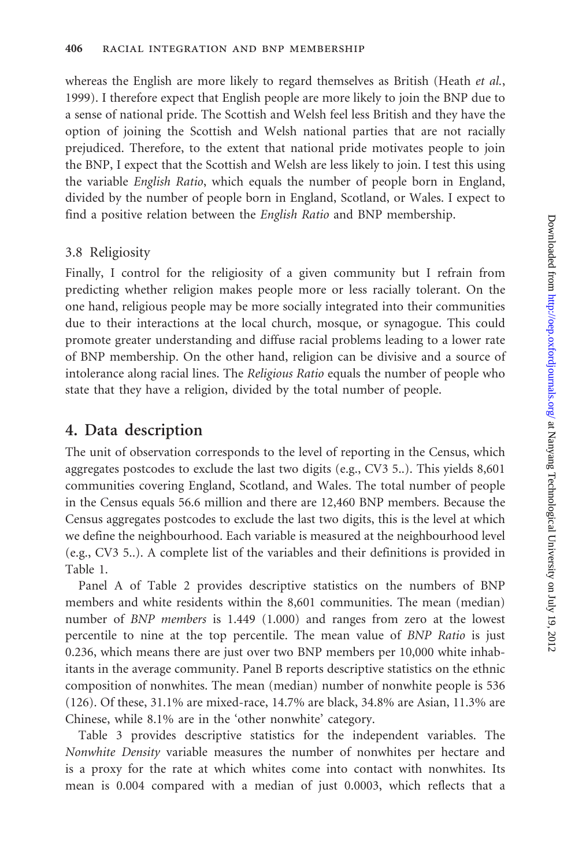whereas the English are more likely to regard themselves as British [\(Heath](#page-20-0) *et al.*, [1999\)](#page-20-0). I therefore expect that English people are more likely to join the BNP due to a sense of national pride. The Scottish and Welsh feel less British and they have the option of joining the Scottish and Welsh national parties that are not racially prejudiced. Therefore, to the extent that national pride motivates people to join the BNP, I expect that the Scottish and Welsh are less likely to join. I test this using the variable English Ratio, which equals the number of people born in England, divided by the number of people born in England, Scotland, or Wales. I expect to find a positive relation between the English Ratio and BNP membership.

#### 3.8 Religiosity

Finally, I control for the religiosity of a given community but I refrain from predicting whether religion makes people more or less racially tolerant. On the one hand, religious people may be more socially integrated into their communities due to their interactions at the local church, mosque, or synagogue. This could promote greater understanding and diffuse racial problems leading to a lower rate of BNP membership. On the other hand, religion can be divisive and a source of intolerance along racial lines. The Religious Ratio equals the number of people who state that they have a religion, divided by the total number of people.

## 4. Data description

The unit of observation corresponds to the level of reporting in the Census, which aggregates postcodes to exclude the last two digits (e.g., CV3 5..). This yields 8,601 communities covering England, Scotland, and Wales. The total number of people in the Census equals 56.6 million and there are 12,460 BNP members. Because the Census aggregates postcodes to exclude the last two digits, this is the level at which we define the neighbourhood. Each variable is measured at the neighbourhood level (e.g., CV3 5..). A complete list of the variables and their definitions is provided in [Table 1.](#page-12-0)

Panel A of [Table 2](#page-13-0) provides descriptive statistics on the numbers of BNP members and white residents within the 8,601 communities. The mean (median) number of BNP members is 1.449 (1.000) and ranges from zero at the lowest percentile to nine at the top percentile. The mean value of BNP Ratio is just 0.236, which means there are just over two BNP members per 10,000 white inhabitants in the average community. Panel B reports descriptive statistics on the ethnic composition of nonwhites. The mean (median) number of nonwhite people is 536 (126). Of these, 31.1% are mixed-race, 14.7% are black, 34.8% are Asian, 11.3% are Chinese, while 8.1% are in the 'other nonwhite' category.

[Table 3](#page-13-0) provides descriptive statistics for the independent variables. The Nonwhite Density variable measures the number of nonwhites per hectare and is a proxy for the rate at which whites come into contact with nonwhites. Its mean is 0.004 compared with a median of just 0.0003, which reflects that a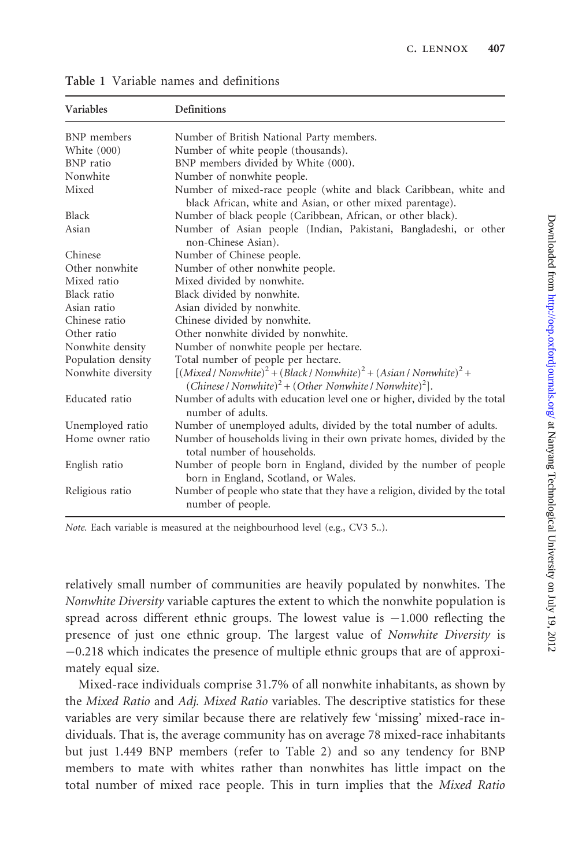| Variables          | Definitions                                                                                                                                                |
|--------------------|------------------------------------------------------------------------------------------------------------------------------------------------------------|
| <b>BNP</b> members | Number of British National Party members.                                                                                                                  |
| White $(000)$      | Number of white people (thousands).                                                                                                                        |
| BNP ratio          | BNP members divided by White (000).                                                                                                                        |
| Nonwhite           | Number of nonwhite people.                                                                                                                                 |
| Mixed              | Number of mixed-race people (white and black Caribbean, white and<br>black African, white and Asian, or other mixed parentage).                            |
| Black              | Number of black people (Caribbean, African, or other black).                                                                                               |
| Asian              | Number of Asian people (Indian, Pakistani, Bangladeshi, or other<br>non-Chinese Asian).                                                                    |
| Chinese            | Number of Chinese people.                                                                                                                                  |
| Other nonwhite     | Number of other nonwhite people.                                                                                                                           |
| Mixed ratio        | Mixed divided by nonwhite.                                                                                                                                 |
| Black ratio        | Black divided by nonwhite.                                                                                                                                 |
| Asian ratio        | Asian divided by nonwhite.                                                                                                                                 |
| Chinese ratio      | Chinese divided by nonwhite.                                                                                                                               |
| Other ratio        | Other nonwhite divided by nonwhite.                                                                                                                        |
| Nonwhite density   | Number of nonwhite people per hectare.                                                                                                                     |
| Population density | Total number of people per hectare.                                                                                                                        |
| Nonwhite diversity | $[(Mixed / Nonwhite)^2 + (Black / Nonwhite)^2 + (Asian / Nonwhite)^2 +$<br>(Chinese / Nonwhite) <sup>2</sup> + (Other Nonwhite / Nonwhite) <sup>2</sup> ]. |
| Educated ratio     | Number of adults with education level one or higher, divided by the total<br>number of adults.                                                             |
| Unemployed ratio   | Number of unemployed adults, divided by the total number of adults.                                                                                        |
| Home owner ratio   | Number of households living in their own private homes, divided by the<br>total number of households.                                                      |
| English ratio      | Number of people born in England, divided by the number of people<br>born in England, Scotland, or Wales.                                                  |
| Religious ratio    | Number of people who state that they have a religion, divided by the total<br>number of people.                                                            |

<span id="page-12-0"></span>Table 1 Variable names and definitions

Note. Each variable is measured at the neighbourhood level (e.g., CV3 5..).

relatively small number of communities are heavily populated by nonwhites. The Nonwhite Diversity variable captures the extent to which the nonwhite population is spread across different ethnic groups. The lowest value is  $-1.000$  reflecting the presence of just one ethnic group. The largest value of Nonwhite Diversity is -0.218 which indicates the presence of multiple ethnic groups that are of approximately equal size.

Mixed-race individuals comprise 31.7% of all nonwhite inhabitants, as shown by the Mixed Ratio and Adj. Mixed Ratio variables. The descriptive statistics for these variables are very similar because there are relatively few 'missing' mixed-race individuals. That is, the average community has on average 78 mixed-race inhabitants but just 1.449 BNP members (refer to [Table 2\)](#page-13-0) and so any tendency for BNP members to mate with whites rather than nonwhites has little impact on the total number of mixed race people. This in turn implies that the Mixed Ratio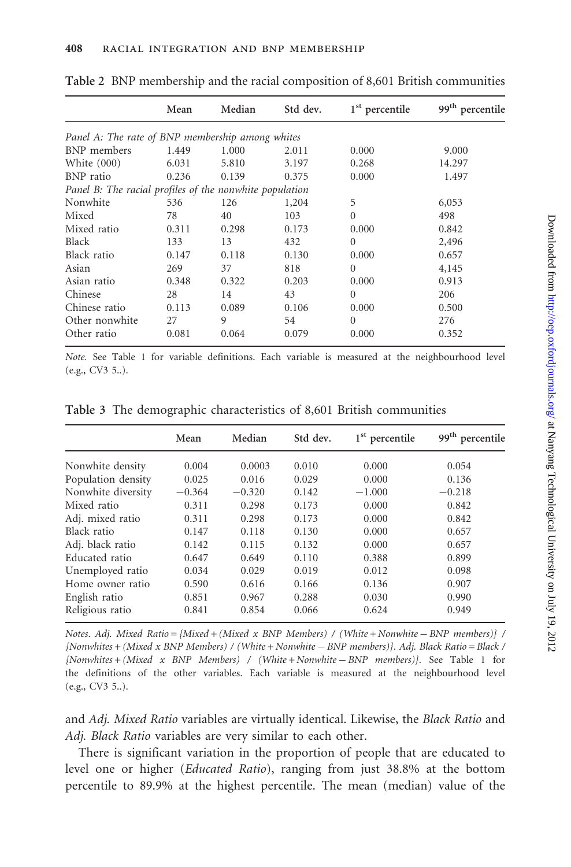|                                                         | Mean  | Median | Std dev. | $1st$ percentile | 99 <sup>th</sup> percentile |
|---------------------------------------------------------|-------|--------|----------|------------------|-----------------------------|
| Panel A: The rate of BNP membership among whites        |       |        |          |                  |                             |
| BNP members                                             | 1.449 | 1.000  | 2.011    | 0.000            | 9.000                       |
| White $(000)$                                           | 6.031 | 5.810  | 3.197    | 0.268            | 14.297                      |
| BNP ratio                                               | 0.236 | 0.139  | 0.375    | 0.000            | 1.497                       |
| Panel B: The racial profiles of the nonwhite population |       |        |          |                  |                             |
| Nonwhite                                                | 536   | 126    | 1,204    | 5                | 6,053                       |
| Mixed                                                   | 78    | 40     | 103      | $\Omega$         | 498                         |
| Mixed ratio                                             | 0.311 | 0.298  | 0.173    | 0.000            | 0.842                       |
| Black                                                   | 133   | 13     | 432      | $\Omega$         | 2,496                       |
| Black ratio                                             | 0.147 | 0.118  | 0.130    | 0.000            | 0.657                       |
| Asian                                                   | 269   | 37     | 818      | $\Omega$         | 4,145                       |
| Asian ratio                                             | 0.348 | 0.322  | 0.203    | 0.000            | 0.913                       |
| Chinese                                                 | 28    | 14     | 43       | $\Omega$         | 206                         |
| Chinese ratio                                           | 0.113 | 0.089  | 0.106    | 0.000            | 0.500                       |
| Other nonwhite                                          | 27    | 9      | 54       | $\Omega$         | 276                         |
| Other ratio                                             | 0.081 | 0.064  | 0.079    | 0.000            | 0.352                       |
|                                                         |       |        |          |                  |                             |

<span id="page-13-0"></span>Table 2 BNP membership and the racial composition of 8,601 British communities

Note. See [Table 1](#page-12-0) for variable definitions. Each variable is measured at the neighbourhood level (e.g., CV3 5..).

|                    | Mean     | Median   | Std dev. | 1 <sup>st</sup> percentile | 99 <sup>th</sup><br>percentile |
|--------------------|----------|----------|----------|----------------------------|--------------------------------|
| Nonwhite density   | 0.004    | 0.0003   | 0.010    | 0.000                      | 0.054                          |
| Population density | 0.025    | 0.016    | 0.029    | 0.000                      | 0.136                          |
| Nonwhite diversity | $-0.364$ | $-0.320$ | 0.142    | $-1.000$                   | $-0.218$                       |
| Mixed ratio        | 0.311    | 0.298    | 0.173    | 0.000                      | 0.842                          |
| Adj. mixed ratio   | 0.311    | 0.298    | 0.173    | 0.000                      | 0.842                          |
| Black ratio        | 0.147    | 0.118    | 0.130    | 0.000                      | 0.657                          |
| Adj. black ratio   | 0.142    | 0.115    | 0.132    | 0.000                      | 0.657                          |
| Educated ratio     | 0.647    | 0.649    | 0.110    | 0.388                      | 0.899                          |
| Unemployed ratio   | 0.034    | 0.029    | 0.019    | 0.012                      | 0.098                          |
| Home owner ratio   | 0.590    | 0.616    | 0.166    | 0.136                      | 0.907                          |
| English ratio      | 0.851    | 0.967    | 0.288    | 0.030                      | 0.990                          |
| Religious ratio    | 0.841    | 0.854    | 0.066    | 0.624                      | 0.949                          |

Table 3 The demographic characteristics of 8,601 British communities

Notes. Adj. Mixed Ratio = {Mixed + (Mixed x BNP Members) / (White + Nonwhite - BNP members)} / {Nonwhites + (Mixed x BNP Members) / (White + Nonwhite - BNP members)}. Adj. Black Ratio = Black / {Nonwhites + (Mixed x BNP Members) / (White + Nonwhite - BNP members)}. See [Table 1](#page-12-0) for the definitions of the other variables. Each variable is measured at the neighbourhood level (e.g., CV3 5..).

and Adj. Mixed Ratio variables are virtually identical. Likewise, the Black Ratio and Adj. Black Ratio variables are very similar to each other.

There is significant variation in the proportion of people that are educated to level one or higher (Educated Ratio), ranging from just 38.8% at the bottom percentile to 89.9% at the highest percentile. The mean (median) value of the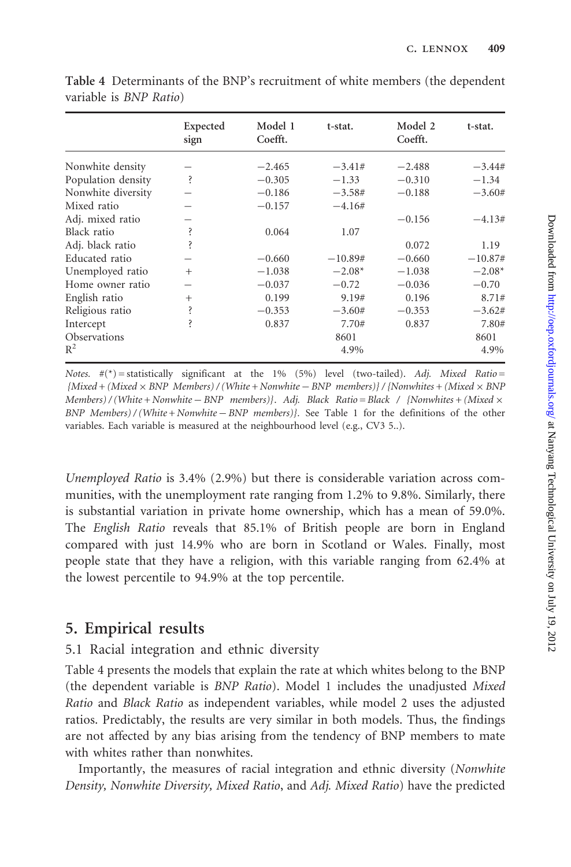|                     | Expected | Model 1  | t-stat.   | Model 2  | t-stat.   |
|---------------------|----------|----------|-----------|----------|-----------|
|                     | sign     | Coefft.  |           | Coefft.  |           |
| Nonwhite density    |          | $-2.465$ | $-3.41#$  | $-2.488$ | $-3.44#$  |
| Population density  | Ŝ        | $-0.305$ | $-1.33$   | $-0.310$ | $-1.34$   |
| Nonwhite diversity  |          | $-0.186$ | $-3.58#$  | $-0.188$ | $-3.60#$  |
| Mixed ratio         |          | $-0.157$ | $-4.16#$  |          |           |
| Adj. mixed ratio    |          |          |           | $-0.156$ | $-4.13#$  |
| Black ratio         | Ş        | 0.064    | 1.07      |          |           |
| Adj. black ratio    |          |          |           | 0.072    | 1.19      |
| Educated ratio      |          | $-0.660$ | $-10.89#$ | $-0.660$ | $-10.87#$ |
| Unemployed ratio    | $^{+}$   | $-1.038$ | $-2.08*$  | $-1.038$ | $-2.08*$  |
| Home owner ratio    |          | $-0.037$ | $-0.72$   | $-0.036$ | $-0.70$   |
| English ratio       | $^{+}$   | 0.199    | 9.19#     | 0.196    | 8.71#     |
| Religious ratio     |          | $-0.353$ | $-3.60#$  | $-0.353$ | $-3.62#$  |
| Intercept           | ś        | 0.837    | 7.70#     | 0.837    | 7.80#     |
| <b>Observations</b> |          |          | 8601      |          | 8601      |
| $R^2$               |          |          | 4.9%      |          | 4.9%      |

<span id="page-14-0"></span>Table 4 Determinants of the BNP's recruitment of white members (the dependent variable is BNP Ratio)

Notes.  $\#(^*)$  = statistically significant at the 1% (5%) level (two-tailed). Adj. Mixed Ratio =  ${Mixed + (Mixed \times BNP \; Members) / (White + Nonwhite - BNP \; members)}$  /  ${Normalive + (United \times BNP \; members)}$ Members) / (White + Nonwhite — BNP members)}. Adj. Black Ratio = Black / {Nonwhites + (Mixed  $\times$ BNP Members)/(White + Nonwhite – BNP members)}. See [Table 1](#page-12-0) for the definitions of the other variables. Each variable is measured at the neighbourhood level (e.g., CV3 5..).

Unemployed Ratio is 3.4% (2.9%) but there is considerable variation across communities, with the unemployment rate ranging from 1.2% to 9.8%. Similarly, there is substantial variation in private home ownership, which has a mean of 59.0%. The English Ratio reveals that 85.1% of British people are born in England compared with just 14.9% who are born in Scotland or Wales. Finally, most people state that they have a religion, with this variable ranging from 62.4% at the lowest percentile to 94.9% at the top percentile.

# 5. Empirical results

## 5.1 Racial integration and ethnic diversity

Table 4 presents the models that explain the rate at which whites belong to the BNP (the dependent variable is BNP Ratio). Model 1 includes the unadjusted Mixed Ratio and Black Ratio as independent variables, while model 2 uses the adjusted ratios. Predictably, the results are very similar in both models. Thus, the findings are not affected by any bias arising from the tendency of BNP members to mate with whites rather than nonwhites.

Importantly, the measures of racial integration and ethnic diversity (Nonwhite Density, Nonwhite Diversity, Mixed Ratio, and Adj. Mixed Ratio) have the predicted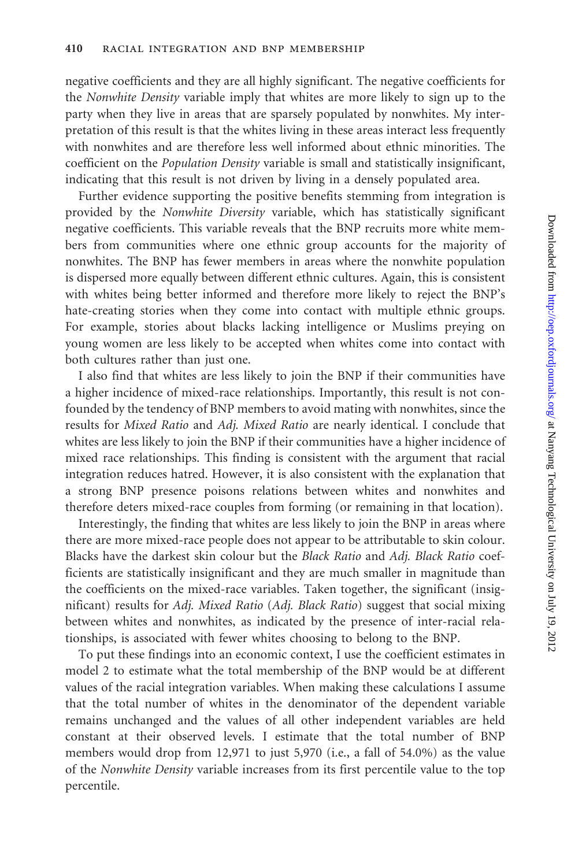negative coefficients and they are all highly significant. The negative coefficients for the Nonwhite Density variable imply that whites are more likely to sign up to the party when they live in areas that are sparsely populated by nonwhites. My interpretation of this result is that the whites living in these areas interact less frequently with nonwhites and are therefore less well informed about ethnic minorities. The coefficient on the Population Density variable is small and statistically insignificant, indicating that this result is not driven by living in a densely populated area.

Further evidence supporting the positive benefits stemming from integration is provided by the Nonwhite Diversity variable, which has statistically significant negative coefficients. This variable reveals that the BNP recruits more white members from communities where one ethnic group accounts for the majority of nonwhites. The BNP has fewer members in areas where the nonwhite population is dispersed more equally between different ethnic cultures. Again, this is consistent with whites being better informed and therefore more likely to reject the BNP's hate-creating stories when they come into contact with multiple ethnic groups. For example, stories about blacks lacking intelligence or Muslims preying on young women are less likely to be accepted when whites come into contact with both cultures rather than just one.

I also find that whites are less likely to join the BNP if their communities have a higher incidence of mixed-race relationships. Importantly, this result is not confounded by the tendency of BNP members to avoid mating with nonwhites, since the results for Mixed Ratio and Adj. Mixed Ratio are nearly identical. I conclude that whites are less likely to join the BNP if their communities have a higher incidence of mixed race relationships. This finding is consistent with the argument that racial integration reduces hatred. However, it is also consistent with the explanation that a strong BNP presence poisons relations between whites and nonwhites and therefore deters mixed-race couples from forming (or remaining in that location).

Interestingly, the finding that whites are less likely to join the BNP in areas where there are more mixed-race people does not appear to be attributable to skin colour. Blacks have the darkest skin colour but the Black Ratio and Adj. Black Ratio coefficients are statistically insignificant and they are much smaller in magnitude than the coefficients on the mixed-race variables. Taken together, the significant (insignificant) results for Adj. Mixed Ratio (Adj. Black Ratio) suggest that social mixing between whites and nonwhites, as indicated by the presence of inter-racial relationships, is associated with fewer whites choosing to belong to the BNP.

To put these findings into an economic context, I use the coefficient estimates in model 2 to estimate what the total membership of the BNP would be at different values of the racial integration variables. When making these calculations I assume that the total number of whites in the denominator of the dependent variable remains unchanged and the values of all other independent variables are held constant at their observed levels. I estimate that the total number of BNP members would drop from 12,971 to just 5,970 (i.e., a fall of 54.0%) as the value of the Nonwhite Density variable increases from its first percentile value to the top percentile.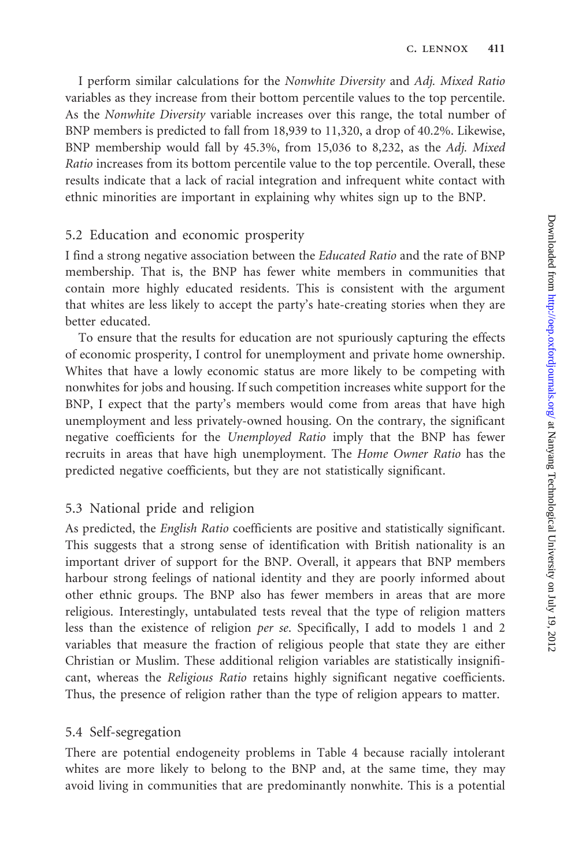I perform similar calculations for the Nonwhite Diversity and Adj. Mixed Ratio variables as they increase from their bottom percentile values to the top percentile. As the Nonwhite Diversity variable increases over this range, the total number of BNP members is predicted to fall from 18,939 to 11,320, a drop of 40.2%. Likewise, BNP membership would fall by 45.3%, from 15,036 to 8,232, as the Adj. Mixed Ratio increases from its bottom percentile value to the top percentile. Overall, these results indicate that a lack of racial integration and infrequent white contact with ethnic minorities are important in explaining why whites sign up to the BNP.

## 5.2 Education and economic prosperity

I find a strong negative association between the Educated Ratio and the rate of BNP membership. That is, the BNP has fewer white members in communities that contain more highly educated residents. This is consistent with the argument that whites are less likely to accept the party's hate-creating stories when they are better educated.

To ensure that the results for education are not spuriously capturing the effects of economic prosperity, I control for unemployment and private home ownership. Whites that have a lowly economic status are more likely to be competing with nonwhites for jobs and housing. If such competition increases white support for the BNP, I expect that the party's members would come from areas that have high unemployment and less privately-owned housing. On the contrary, the significant negative coefficients for the Unemployed Ratio imply that the BNP has fewer recruits in areas that have high unemployment. The Home Owner Ratio has the predicted negative coefficients, but they are not statistically significant.

## 5.3 National pride and religion

As predicted, the English Ratio coefficients are positive and statistically significant. This suggests that a strong sense of identification with British nationality is an important driver of support for the BNP. Overall, it appears that BNP members harbour strong feelings of national identity and they are poorly informed about other ethnic groups. The BNP also has fewer members in areas that are more religious. Interestingly, untabulated tests reveal that the type of religion matters less than the existence of religion per se. Specifically, I add to models 1 and 2 variables that measure the fraction of religious people that state they are either Christian or Muslim. These additional religion variables are statistically insignificant, whereas the Religious Ratio retains highly significant negative coefficients. Thus, the presence of religion rather than the type of religion appears to matter.

## 5.4 Self-segregation

There are potential endogeneity problems in [Table 4](#page-14-0) because racially intolerant whites are more likely to belong to the BNP and, at the same time, they may avoid living in communities that are predominantly nonwhite. This is a potential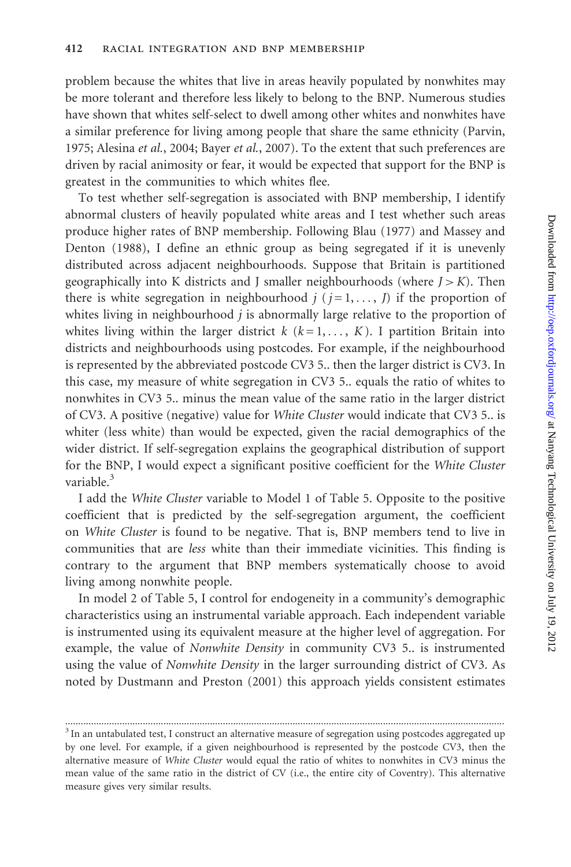problem because the whites that live in areas heavily populated by nonwhites may be more tolerant and therefore less likely to belong to the BNP. Numerous studies have shown that whites self-select to dwell among other whites and nonwhites have a similar preference for living among people that share the same ethnicity [\(Parvin,](#page-21-0) [1975;](#page-21-0) [Alesina](#page-19-0) et al., 2004; Bayer et al.[, 2007\)](#page-19-0). To the extent that such preferences are driven by racial animosity or fear, it would be expected that support for the BNP is greatest in the communities to which whites flee.

To test whether self-segregation is associated with BNP membership, I identify abnormal clusters of heavily populated white areas and I test whether such areas produce higher rates of BNP membership. Following [Blau \(1977\)](#page-20-0) and [Massey and](#page-20-0) [Denton \(1988\),](#page-20-0) I define an ethnic group as being segregated if it is unevenly distributed across adjacent neighbourhoods. Suppose that Britain is partitioned geographically into K districts and J smaller neighbourhoods (where  $J > K$ ). Then there is white segregation in neighbourhood  $j$  ( $j = 1, \ldots, J$ ) if the proportion of whites living in neighbourhood  $j$  is abnormally large relative to the proportion of whites living within the larger district  $k$  ( $k = 1, ..., K$ ). I partition Britain into districts and neighbourhoods using postcodes. For example, if the neighbourhood is represented by the abbreviated postcode CV3 5.. then the larger district is CV3. In this case, my measure of white segregation in CV3 5.. equals the ratio of whites to nonwhites in CV3 5.. minus the mean value of the same ratio in the larger district of CV3. A positive (negative) value for White Cluster would indicate that CV3 5.. is whiter (less white) than would be expected, given the racial demographics of the wider district. If self-segregation explains the geographical distribution of support for the BNP, I would expect a significant positive coefficient for the White Cluster variable.<sup>3</sup>

I add the White Cluster variable to Model 1 of [Table 5.](#page-18-0) Opposite to the positive coefficient that is predicted by the self-segregation argument, the coefficient on White Cluster is found to be negative. That is, BNP members tend to live in communities that are less white than their immediate vicinities. This finding is contrary to the argument that BNP members systematically choose to avoid living among nonwhite people.

In model 2 of [Table 5,](#page-18-0) I control for endogeneity in a community's demographic characteristics using an instrumental variable approach. Each independent variable is instrumented using its equivalent measure at the higher level of aggregation. For example, the value of Nonwhite Density in community CV3 5.. is instrumented using the value of Nonwhite Density in the larger surrounding district of CV3. As noted by [Dustmann and Preston \(2001\)](#page-20-0) this approach yields consistent estimates

<sup>..........................................................................................................................................................................</sup>

 $^3$  In an untabulated test, I construct an alternative measure of segregation using postcodes aggregated up by one level. For example, if a given neighbourhood is represented by the postcode CV3, then the alternative measure of White Cluster would equal the ratio of whites to nonwhites in CV3 minus the mean value of the same ratio in the district of CV (i.e., the entire city of Coventry). This alternative measure gives very similar results.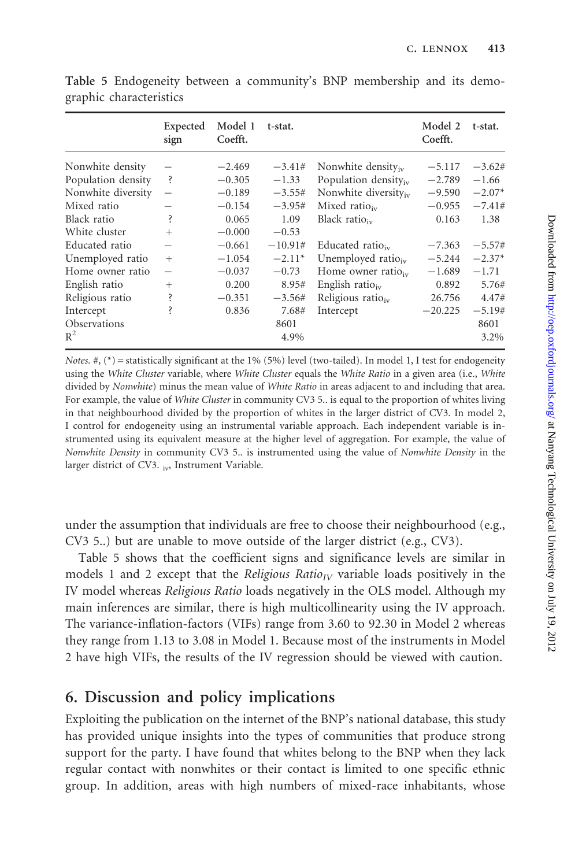|                     | Expected<br>sign | Model 1<br>Coefft. | t-stat.   |                                  | Model 2<br>Coefft. | t-stat.  |
|---------------------|------------------|--------------------|-----------|----------------------------------|--------------------|----------|
| Nonwhite density    |                  | $-2.469$           | $-3.41#$  | Nonwhite density $_{iv}$         | $-5.117$           | $-3.62#$ |
| Population density  | Ŝ                | $-0.305$           | $-1.33$   | Population density <sub>iv</sub> | $-2.789$           | $-1.66$  |
| Nonwhite diversity  |                  | $-0.189$           | $-3.55#$  | Nonwhite diversity $_{iv}$       | $-9.590$           | $-2.07*$ |
| Mixed ratio         |                  | $-0.154$           | $-3.95#$  | Mixed ratio <sub>iv</sub>        | $-0.955$           | $-7.41#$ |
| Black ratio         | Ś.               | 0.065              | 1.09      | Black ratio $_{iv}$              | 0.163              | 1.38     |
| White cluster       | $^{+}$           | $-0.000$           | $-0.53$   |                                  |                    |          |
| Educated ratio      |                  | $-0.661$           | $-10.91#$ | Educated ratio $_{iv}$           | $-7.363$           | $-5.57#$ |
| Unemployed ratio    | $^{+}$           | $-1.054$           | $-2.11*$  | Unemployed ratio <sub>iv</sub>   | $-5.244$           | $-2.37*$ |
| Home owner ratio    |                  | $-0.037$           | $-0.73$   | Home owner ratio $_{iv}$         | $-1.689$           | $-1.71$  |
| English ratio       | $^{+}$           | 0.200              | 8.95#     | English ratio $_{iv}$            | 0.892              | 5.76#    |
| Religious ratio     | ś                | $-0.351$           | $-3.56#$  | Religious ratio <sub>iv</sub>    | 26.756             | 4.47#    |
| Intercept           | S                | 0.836              | 7.68#     | Intercept                        | $-20.225$          | $-5.19#$ |
| <b>Observations</b> |                  |                    | 8601      |                                  |                    | 8601     |
| $R^2$               |                  |                    | 4.9%      |                                  |                    | 3.2%     |

<span id="page-18-0"></span>Table 5 Endogeneity between a community's BNP membership and its demographic characteristics

Notes. #,  $(*)$  = statistically significant at the 1% (5%) level (two-tailed). In model 1, I test for endogeneity using the White Cluster variable, where White Cluster equals the White Ratio in a given area (i.e., White divided by Nonwhite) minus the mean value of White Ratio in areas adjacent to and including that area. For example, the value of White Cluster in community CV3 5.. is equal to the proportion of whites living in that neighbourhood divided by the proportion of whites in the larger district of CV3. In model 2, I control for endogeneity using an instrumental variable approach. Each independent variable is instrumented using its equivalent measure at the higher level of aggregation. For example, the value of Nonwhite Density in community CV3 5.. is instrumented using the value of Nonwhite Density in the larger district of CV3. iv, Instrument Variable.

under the assumption that individuals are free to choose their neighbourhood (e.g., CV3 5..) but are unable to move outside of the larger district (e.g., CV3).

Table 5 shows that the coefficient signs and significance levels are similar in models 1 and 2 except that the *Religious Ratio<sub>IV</sub>* variable loads positively in the IV model whereas Religious Ratio loads negatively in the OLS model. Although my main inferences are similar, there is high multicollinearity using the IV approach. The variance-inflation-factors (VIFs) range from 3.60 to 92.30 in Model 2 whereas they range from 1.13 to 3.08 in Model 1. Because most of the instruments in Model 2 have high VIFs, the results of the IV regression should be viewed with caution.

# 6. Discussion and policy implications

Exploiting the publication on the internet of the BNP's national database, this study has provided unique insights into the types of communities that produce strong support for the party. I have found that whites belong to the BNP when they lack regular contact with nonwhites or their contact is limited to one specific ethnic group. In addition, areas with high numbers of mixed-race inhabitants, whose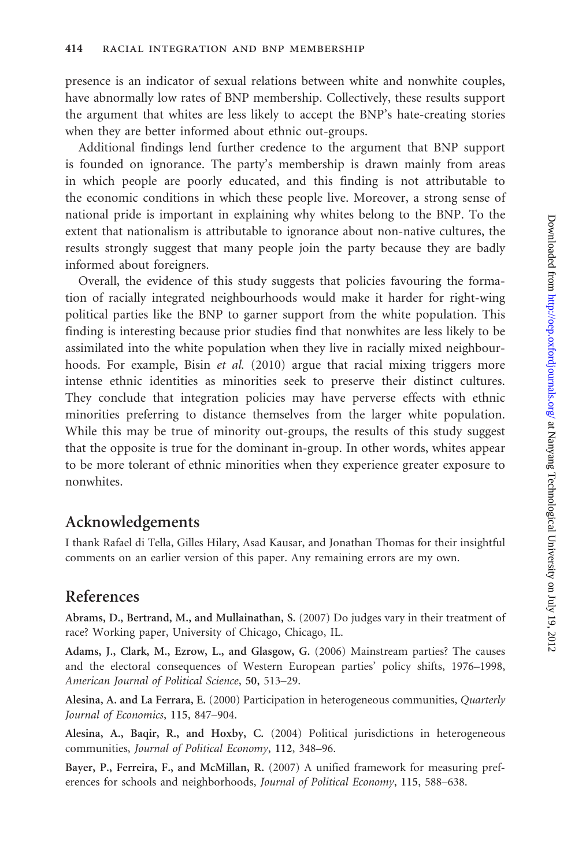<span id="page-19-0"></span>presence is an indicator of sexual relations between white and nonwhite couples, have abnormally low rates of BNP membership. Collectively, these results support the argument that whites are less likely to accept the BNP's hate-creating stories when they are better informed about ethnic out-groups.

Additional findings lend further credence to the argument that BNP support is founded on ignorance. The party's membership is drawn mainly from areas in which people are poorly educated, and this finding is not attributable to the economic conditions in which these people live. Moreover, a strong sense of national pride is important in explaining why whites belong to the BNP. To the extent that nationalism is attributable to ignorance about non-native cultures, the results strongly suggest that many people join the party because they are badly informed about foreigners.

Overall, the evidence of this study suggests that policies favouring the formation of racially integrated neighbourhoods would make it harder for right-wing political parties like the BNP to garner support from the white population. This finding is interesting because prior studies find that nonwhites are less likely to be assimilated into the white population when they live in racially mixed neighbourhoods. For example, Bisin et al. [\(2010\)](#page-20-0) argue that racial mixing triggers more intense ethnic identities as minorities seek to preserve their distinct cultures. They conclude that integration policies may have perverse effects with ethnic minorities preferring to distance themselves from the larger white population. While this may be true of minority out-groups, the results of this study suggest that the opposite is true for the dominant in-group. In other words, whites appear to be more tolerant of ethnic minorities when they experience greater exposure to nonwhites.

## Acknowledgements

I thank Rafael di Tella, Gilles Hilary, Asad Kausar, and Jonathan Thomas for their insightful comments on an earlier version of this paper. Any remaining errors are my own.

## References

Abrams, D., Bertrand, M., and Mullainathan, S. (2007) Do judges vary in their treatment of race? Working paper, University of Chicago, Chicago, IL.

Adams, J., Clark, M., Ezrow, L., and Glasgow, G. (2006) Mainstream parties? The causes and the electoral consequences of Western European parties' policy shifts, 1976–1998, American Journal of Political Science, 50, 513–29.

Alesina, A. and La Ferrara, E. (2000) Participation in heterogeneous communities, Quarterly Journal of Economics, 115, 847–904.

Alesina, A., Baqir, R., and Hoxby, C. (2004) Political jurisdictions in heterogeneous communities, Journal of Political Economy, 112, 348–96.

Bayer, P., Ferreira, F., and McMillan, R. (2007) A unified framework for measuring preferences for schools and neighborhoods, Journal of Political Economy, 115, 588–638.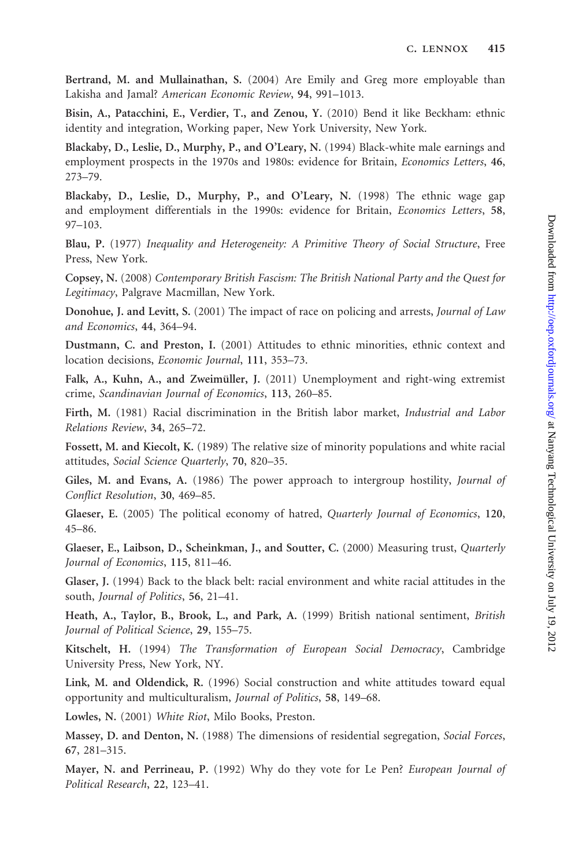<span id="page-20-0"></span>Bertrand, M. and Mullainathan, S. (2004) Are Emily and Greg more employable than Lakisha and Jamal? American Economic Review, 94, 991–1013.

Bisin, A., Patacchini, E., Verdier, T., and Zenou, Y. (2010) Bend it like Beckham: ethnic identity and integration, Working paper, New York University, New York.

Blackaby, D., Leslie, D., Murphy, P., and O'Leary, N. (1994) Black-white male earnings and employment prospects in the 1970s and 1980s: evidence for Britain, Economics Letters, 46, 273–79.

Blackaby, D., Leslie, D., Murphy, P., and O'Leary, N. (1998) The ethnic wage gap and employment differentials in the 1990s: evidence for Britain, Economics Letters, 58, 97–103.

Blau, P. (1977) Inequality and Heterogeneity: A Primitive Theory of Social Structure, Free Press, New York.

Copsey, N. (2008) Contemporary British Fascism: The British National Party and the Quest for Legitimacy, Palgrave Macmillan, New York.

Donohue, J. and Levitt, S. (2001) The impact of race on policing and arrests, Journal of Law and Economics, 44, 364–94.

Dustmann, C. and Preston, I. (2001) Attitudes to ethnic minorities, ethnic context and location decisions, Economic Journal, 111, 353–73.

Falk, A., Kuhn, A., and Zweimüller, J. (2011) Unemployment and right-wing extremist crime, Scandinavian Journal of Economics, 113, 260–85.

Firth, M. (1981) Racial discrimination in the British labor market, *Industrial and Labor* Relations Review, 34, 265–72.

Fossett, M. and Kiecolt, K. (1989) The relative size of minority populations and white racial attitudes, Social Science Quarterly, 70, 820–35.

Giles, M. and Evans, A. (1986) The power approach to intergroup hostility, Journal of Conflict Resolution, 30, 469–85.

Glaeser, E. (2005) The political economy of hatred, *Quarterly Journal of Economics*, 120, 45–86.

Glaeser, E., Laibson, D., Scheinkman, J., and Soutter, C. (2000) Measuring trust, Quarterly Journal of Economics, 115, 811–46.

Glaser, J. (1994) Back to the black belt: racial environment and white racial attitudes in the south, Journal of Politics, 56, 21–41.

Heath, A., Taylor, B., Brook, L., and Park, A. (1999) British national sentiment, British Journal of Political Science, 29, 155–75.

Kitschelt, H. (1994) The Transformation of European Social Democracy, Cambridge University Press, New York, NY.

Link, M. and Oldendick, R. (1996) Social construction and white attitudes toward equal opportunity and multiculturalism, Journal of Politics, 58, 149–68.

Lowles, N. (2001) White Riot, Milo Books, Preston.

Massey, D. and Denton, N. (1988) The dimensions of residential segregation, Social Forces, 67, 281–315.

Mayer, N. and Perrineau, P. (1992) Why do they vote for Le Pen? European Journal of Political Research, 22, 123–41.